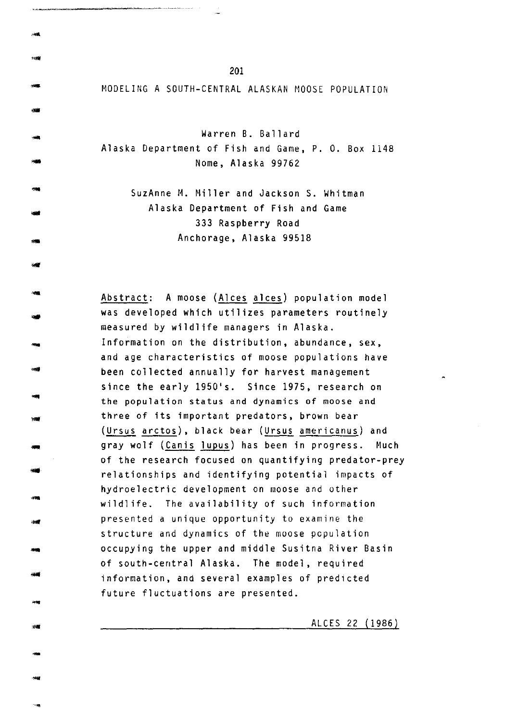MODELING A SOUTH-CENTRAL ALASKAN MOOSE POPULATION

Warren B. Ballard Alaska Department of Fish and Game, P. 0. Box 1148 Nome, Alaska 99762

> SuzAnne M. Miller and Jackson S. Whitman Alaska Department of Fish and Game 333 Raspberry Road Anchorage, Alaska 99518

Abstract: A moose (Alces alces) population model was developed which utilizes parameters routinely measured by wildlife managers in Alaska. Information on the distribution, abundance, sex, and age characteristics of moose populations have been collected annually for harvest management since the early 1950's. Since 1975, research on the population status and dynamics of moose and three of its important predators, brown bear (Ursus arctos), black bear (Ursus americanus) and gray wolf (Canis lupus) has been in progress. Much of the research focused on quantifying predator-prey relationships and identifying potential impacts of hydroelectric development on moose and other wildlife. The availability of such information presented a unique opportunity to examine the structure and dynamics of the moose population occupying the upper and middle Susitna River Basin of south-central Alaska. The model, required information, and several examples of predicted future fluctuations are presented.

ALCES 22 (1986)

-

...

-

-<br>-<br>-

-

-

--<br>---<br>--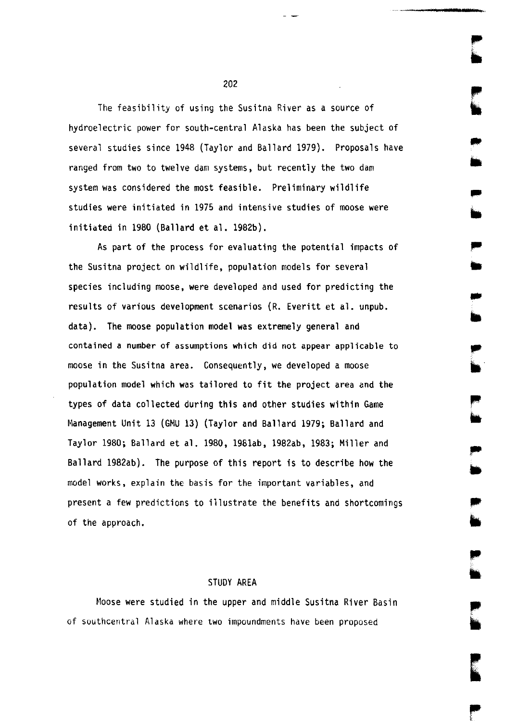The feasibility of using the Susitna River as a source of hydroelectric power for south-central Alaska has been the subject of several studies since 1948 (Taylor and Ballard 1979). Proposals have ranged from two to twelve dam systems, but recently the two dam system was considered the most feasible. Preliminary wildlife studies were initiated in 1975 and intensive studies of moose were initiated in 1980 (Ballard et al. 1982b).

As part of the process for evaluating the potential impacts of the Susitna project on wildlife, population models for several species including moose, were developed and used for predicting the results of various development scenarios (R. Everitt et al. unpub. data). The moose population model was extremely general and contained a number of assumptions which did not appear applicable to moose in the Susitna area. Consequently, we developed a moose population model which was tailored to fit the project area and the types of data collected during this and other studies within Game Management Unit 13 (GMU 13) (Taylor and Ballard 1979; Ballard and Taylor 1980; Ballard et al. 1980, 1981ab, 1982ab, 1983; Miller and Ballard 1982ab). The purpose of this report is to describe how the model works, explain the basis for the important variables, and present a few predictions to illustrate the benefits and shortcomings of the approach.

..

## STUDY AREA

Moose were studied in the upper and middle Susitna River Basin of southcentral Alaska where two impoundments have been proposed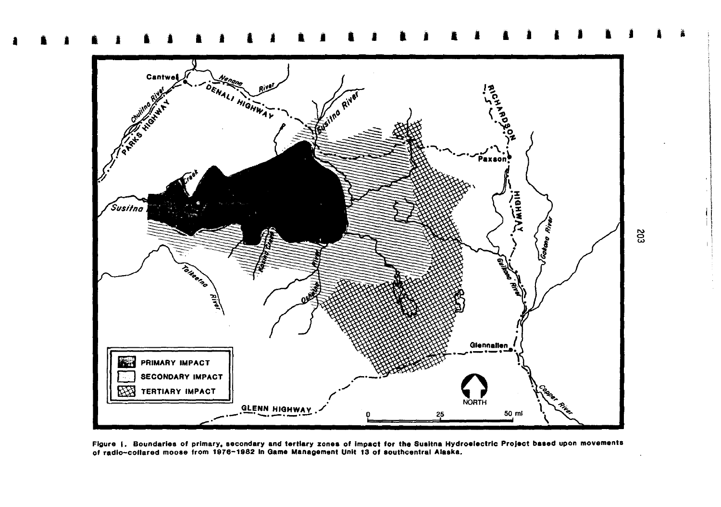

Figure 1. Boundaries of primary, secondary and tertiary zones of impact for the Susitna Hydroelectric Project based upon movements of radio-collared moose from 1976-1982 in Game Management Unit 13 of southcentral Alaska.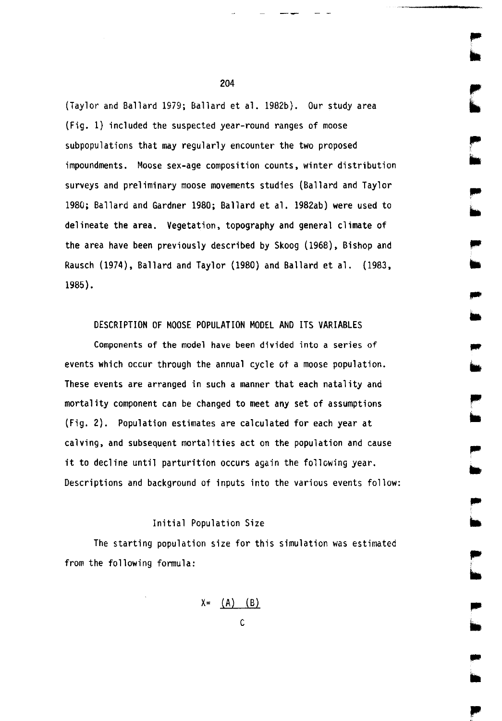(Taylor and Ballard 1979; Ballard et al. 1982b). Our study area (Fig. 1) included the suspected year-round ranges of moose subpopulations that may regularly encounter the two proposed impoundments. Moose sex-age composition counts, winter distribution surveys and preliminary moose movements studies (Ballard and Taylor 1980; Ballard and Gardner 1980; Ballard et al. 1982ab) were used to delineate the area. Vegetation, topography and general climate of the area have been previously described by Skoog (1968), Bishop and Rausch (1974), Ballard and Taylor (1980) and Ballard et al. (1983, 1985).

DESCRIPTION OF MOOSE POPULATION MODEL AND ITS VARIABLES

Components of the model have been divided into a series of events which occur through the annual cycle ot a moose population. These events are arranged in such a manner that each natality and mortality component can be changed to meet any set of assumptions (Fig. 2). Population estimates are calculated for each year at calving, and subsequent mortalities act on the population and cause it to decline until parturition occurs again the following year. Descriptions and background of inputs into the various events follow:

Initial Population Size

The starting population size for this simulation was estimated from the following formula:

 $X = (A) (B)$ 

c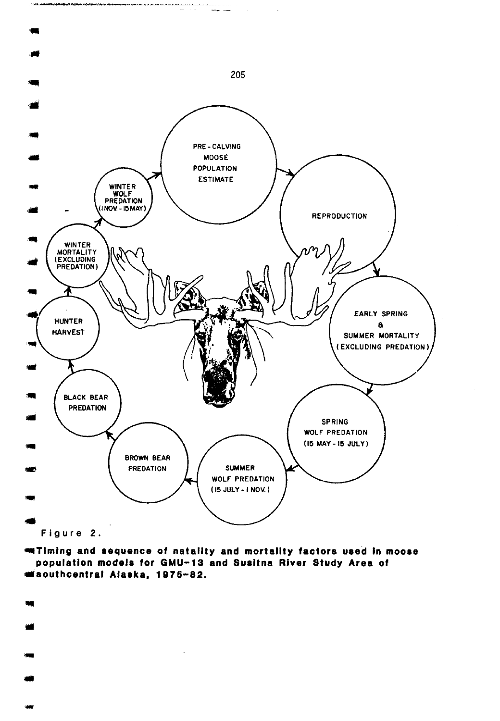

•Timing and sequence of natality and mortality factors used In moose population models for GMU-13 and Susltna River Study Area of ••outhcentral Alaska, 197 6-82 •

- -

... ..

-<br>-<br>-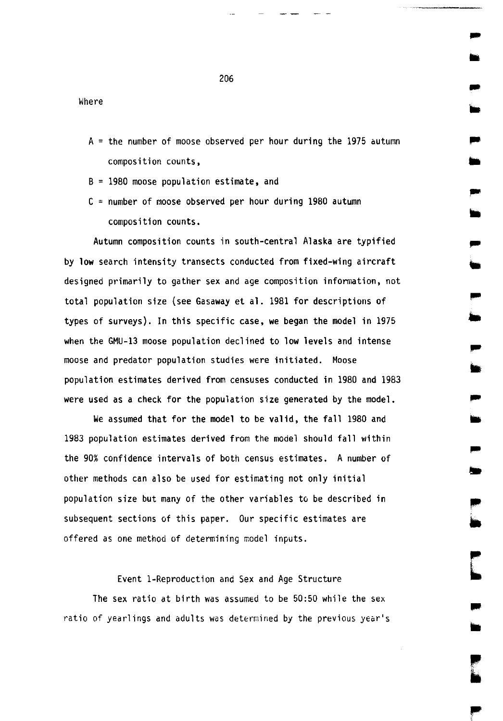$A =$  the number of moose observed per hour during the 1975 autumn composition counts,

..

..

..

..

..

•

B = 19BO moose population estimate, and

Where

 $C =$  number of moose observed per hour during 1980 autumn composition counts.

Autumn composition counts in south-central Alaska are typified by low search intensity transects conducted from fixed-wing aircraft designed primarily to gather sex and age composition information, not total population size (see Gasaway et al. 1981 for descriptions of types of surveys). In this specific case, we began the model in 1975 when the GMU-13 moose population declined to low levels and intense moose and predator population studies were initiated. Moose population estimates derived from censuses conducted in 1980 and 1983 were used as a check for the population size generated by the model.

We assumed that for the model to be valid, the fall 1980 and 1983 population estimates derived from the model should fall within the 90% confidence intervals of both census estimates. A number of other methods can also be used for estimating not only initial population size but many of the other variables to be described in subsequent sections of this paper. Our specific estimates are offered as one method of determining model inputs.

# Event !-Reproduction and Sex and Age Structure

The sex ratio at birth was assumed to be  $50:50$  while the sex ratio of yearlings and adults was determined by the previous year's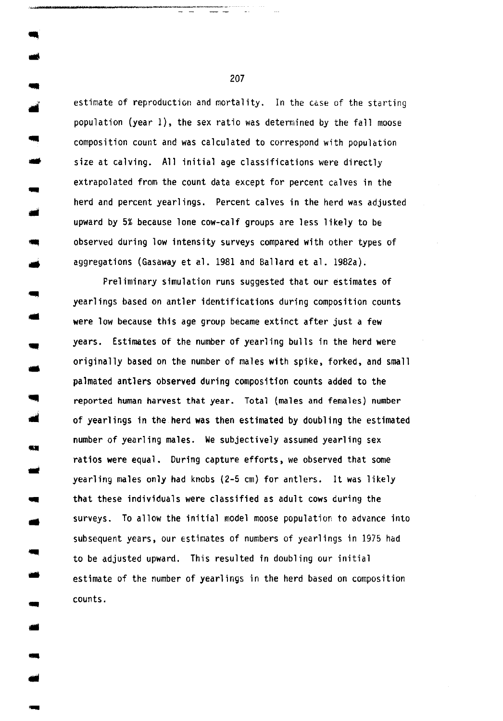estimate of reproduction and mortality. In the case of the starting population (year 1), the sex ratio was determined by the fall moose composition count and was calculated to correspond with population size at calving. All initial age classifications were directly extrapolated from the count data except for percent calves in the herd and percent yearlings. Percent calves in the herd was adjusted upward by 5% because lone cow-calf groups are less likely to be observed during low intensity surveys compared with other types of aggregations (Gasaway et al. 1981 and Ballard et al. 1982a).

-<br>-<br>-

..

..

63

..

..

Preliminary simulation runs suggested that our estimates of yearlings based on antler identifications during composition counts were low because this age group became extinct after just a few years. Estimates of the number of yearling bulls in the herd were originally based on the number of males with spike, forked, and small palmated antlers observed during composition counts added to the .\_ reported human harvest that year. Total (males and females) number of yearlings in the herd was then estimated by doubling the estimated number of yearling males. We subjectively assumed yearling sex ratios were equal. During capture efforts, we observed that some yearling males only had knobs (2-5 em) for antlers. It was likely that these individuals were classified as adult cows during the surveys. To allow the initial model moose population to advance into subsequent years, our Estimates of numbers of yearlings in 1975 had to be adjusted upward. This resulted in doubling our initial estimate of the number of yearlings in the herd based on composition counts .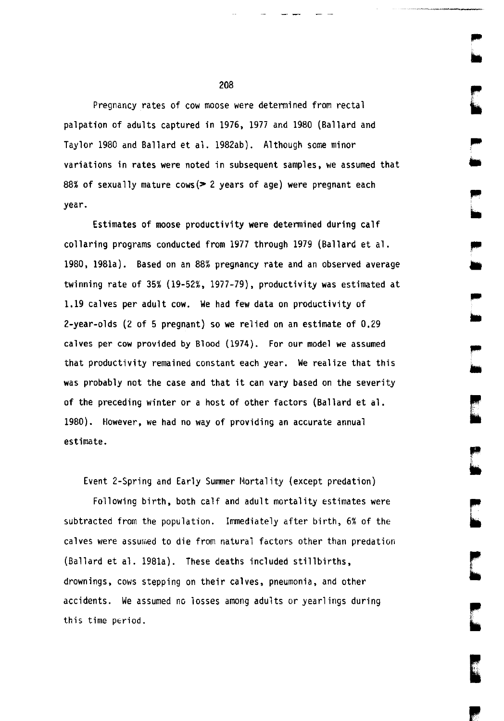Pregnancy rates of cow moose were determined from rectal palpation of adults captured in 1976, 1977 and 1980 (Ballard and Taylor 1980 and Ballard et al. 1982ab). Although some minor variations in rates were noted in subsequent samples, we assumed that 88% of sexually mature cows( $> 2$  years of age) were pregnant each year.

Estimates of moose productivity were determined during calf collaring programs conducted from 1977 through 1979 (Ballard et al. 1980, 1981a). Based on an 88% pregnancy rate and an observed average twinning rate of 35% (19-52%, 1977-79}, productivity was estimated at 1.19 calves per adult cow. We had few data on productivity of 2-year-olds (2 of 5 pregnant) so we relied on an estimate of 0.29 calves per cow provided by Blood (1974). For our model we assumed that productivity remained constant each year. We realize that this was probably not the case and that it can vary based on the severity of the preceding winter or a host of other factors (Ballard et al. 1980). However, we had no way of providing an accurate annual estimate.

Event 2-Spring and Early Summer Mortality (except predation)

Following birth, both calf and adult mortality estimates were subtracted from the population. Immediately after birth, 6% of the calves were assumed to die from natural factors other than predation (Ballard et al. 1981a). These deaths included stillbirths, drownings, cows stepping on their calves, pneumonia, and other accidents. We assumed no losses among adults or yearlings during this time period.

,. ..

,..  $\blacksquare$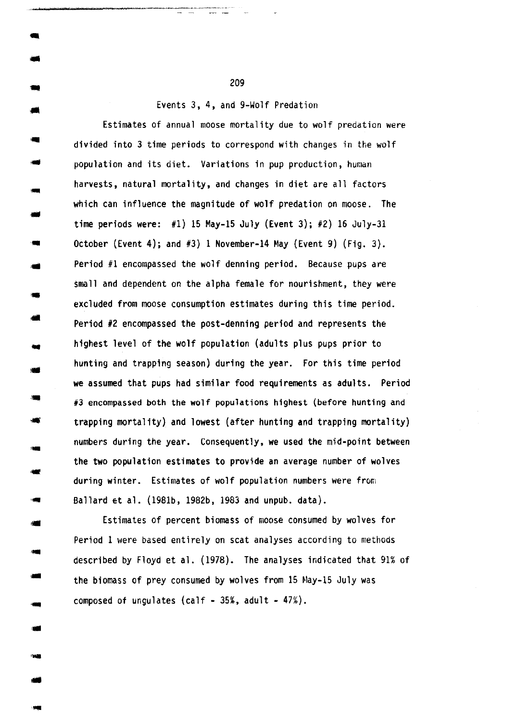Events 3, 4, and 9-Wolf Predation

Estimates of annual moose mortality due to wolf predation were divided into 3 time periods to correspond with changes in the wolf population and its diet. Variations in pup production, human harvests, natural mortality, and changes in diet are all factors which can influence the magnitude of wolf predation on moose. The time periods were:  $#1$ ) 15 May-15 July (Event 3);  $#2$ ) 16 July-31 October (Event 4); and  $#3$ ) 1 November-14 May (Event 9) (Fig. 3). Period #1 encompassed the wolf denning period. Because pups are small and dependent on the alpha female for nourishment, they were excluded from moose consumption estimates during this time period. Period #2 encompassed the post-denning period and represents the highest level of the wolf population (adults plus pups prior to hunting and trapping season) during the year. For this time period we assumed that pups had similar food requirements as adults. Period #3 encompassed both the wolf populations highest (before hunting and trapping mortality) and lowest (after hunting and trapping mortality) numbers during the year. Consequently, we used the mid-point between the two population estimates to provide an average number of wolves during winter. Estimates of wolf population numbers were from Ballard et al. (198lb, 1g82b, 1983 and unpub. data).

Estimates of percent biomass of moose consumed by wolves for Period 1 were based entirely on scat analyses according to methods described by Floyd et al. (1978). The analyses indicated that 91% of the biomass of prey consumed by wolves from 15 May-15 July was composed of ungulates (calf -  $35\%$ , adult -  $47\%$ ).

209

1111 •

• -<br>-<br>-

..

-

.. --<br>--<br>--

..

-

-

-

-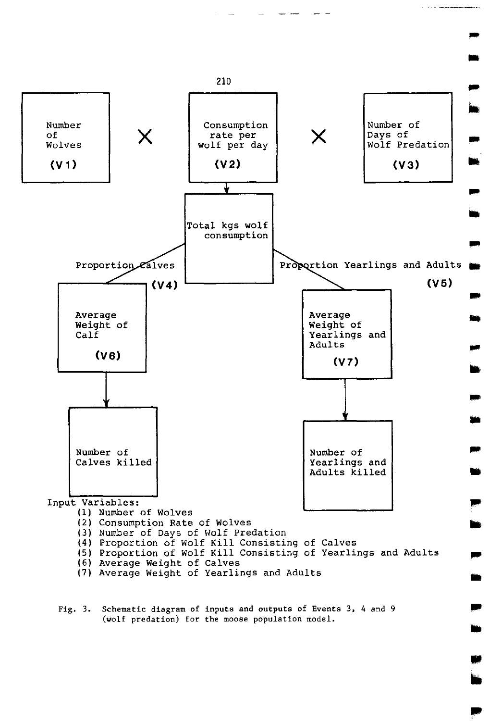

Fig. 3. Schematic diagram of inputs and outputs of Events 3, 4 and 9 (wolf predation) for the moose population model.

..

..

.. in.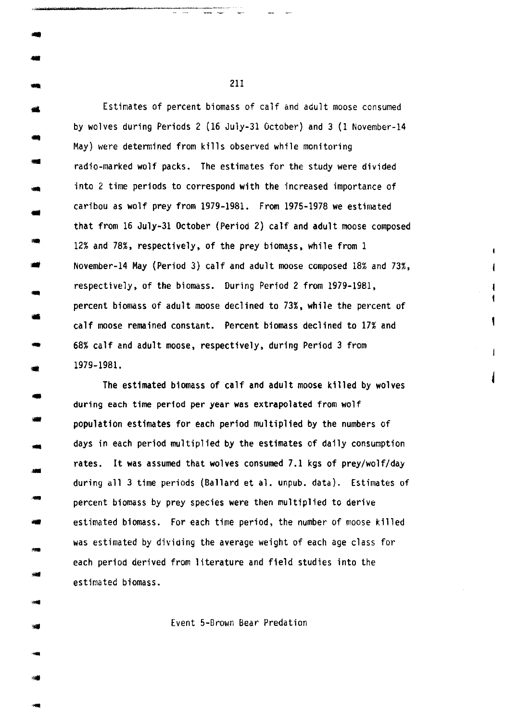Estimates of percent biomass of calf and adult moose consumed by wolves during Periods 2 (16 July-31 October) and 3 (1 November-14 May) were determined from kills observed while monitoring radio-marked wolf packs. The estimates for the study were divided into 2 time periods to correspond with the increased importance of caribou as wolf prey from 1979-1981. From 1975-1978 we estimated that from 16 July-31 October (Period 2) calf and adult moose composed 12% and 78%, respectively, of the prey biomass, while from 1 November-14 May (Period 3) calf and adult moose composed 18% and 73%, respectively, of the biomass. During Period 2 from 1979-1981, percent biomass of adult moose declined to 73%, while the percent of calf moose remained constant. Percent biomass declined to 17% and 68% calf and adult moose, respectively, during Period 3 from 1979-1981.

1 ŧ t

 $\overline{1}$ 

•

•

--<br>---<br>-<br>-

-<br>-<br>-<br>-

.<br>- 예약<br>- 예약 -

-

-

The estimated biomass of calf and adult moose killed by wolves during each time period per year was extrapolated from wolf population estimates for each period multiplied by the numbers of days in each period multiplied by the estimates of daily consumption rates. It was assumed that wolves consumed 7.1 kgs of prey/wolf/day during all 3 time periods (Ballard et al. unpub. data). Estimates of percent biomass by prey species were then multiplied to derive estimated biomass. For each time period, the number of moose killed was estimated by divioing the average weight of each age class for each period derived from literature and field studies into the estimated biomass.

Event 5-Brown Bear Predation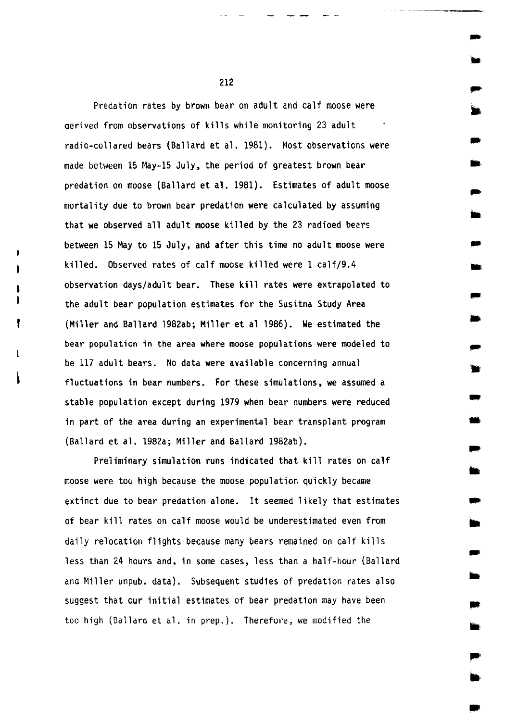Predation rates by brown bear on adult and calf moose were derived from observations of kills while monitoring 23 adult radio-collared bears (Ballard et al. 1981). Most observations were made between 15 May-15 July, the period of greatest brown bear predation on moose (Ballard et al. 1981). Estimates of adult moose mortality due to brown bear predation were calculated by assuming that we observed all adult moose killed by the 23 radioed bears between 15 May to 15 July, and after this time no adult moose were killed. Observed rates of calf moose killed were 1 calf/9.4 observation days/adult bear. These kill rates were extrapolated to the adult bear population estimates for the Susitna Study Area (Miller and Ballard l982ab; Miller et al 1986). We estimated the bear population in the area where moose populations were modeled to be 117 adult bears. No data were available concerning annual fluctuations in bear numbers. For these simulations, we assumed a stable population except during 1979 when bear numbers were reduced in part of the area during an experimental bear transplant program (Ballard et al. 1982a; Miller and Ballard 1982ab).

Preliminary simulation runs indicated that kill rates on calf moose were too high because the moose population quickly became extinct due to bear predation alone. It seemed likely that estimates of bear kill rates on calf moose would be underestimated even from daily relocation flights because many bears remained on calf kills less than 24 hours and, in some cases, less than a half-hour (Ballard and Hiller unpub. data). Subsequent studies of predation rates also suggest that our initial estimates of bear predation may have been too high (Ballard et al. in prep.). Therefore, we modified the

212

-

-

•

- ..

- -

-

-

•• - -<br>-<br>-

-

• .. ..

.. ..

• ..

•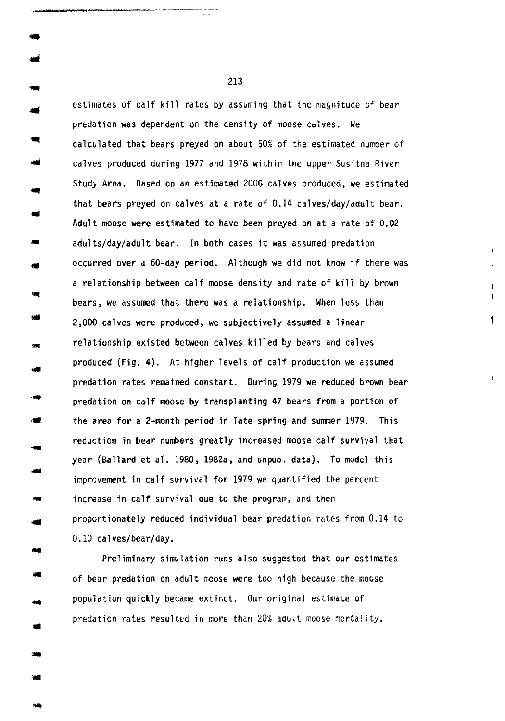estimates of calf kill rates by assuming that the magnitude of bear predation was dependent on the density of moose calves. We calculated that bears preyed on about 50% of the estimated number of calves produced during 1977 and 1978 within the upper Susitna River Study Area. Based on an estimated 2000 calves produced, we estimated that bears preyed on calves at a rate of 0.14 calves/day/adult bear . Adult moose were estimated to have been preyed on at a rate of 0.02 adults/day/adult bear. In both cases it was assumed predation occurred over a 60-day period. Although we did not know if there was a relationship between calf moose density and rate of kill by brown bears, we assumed that there was a relationship. When less than 2,000 calves were produced, we subjectively assumed a linear relationship existed between calves killed by bears and calves produced (Fig. 4). At higher levels of calf production we assumed predation rates remained constant. During 1979 we reduced brown bear predation on calf moose by transplanting 47 bears from a portion of the area for a 2-month period in late spring and summer 1979. This reduction in bear numbers greatly increased moose calf survival that year (Ballard et al. 1980, 1982a, and unpub. data). To model this improvement in calf survival for 1979 we quantified the percent increase in calf survival due to the program, and then • proportionately reduced individual bear predation rates from 0.14 to 0.10 calves/bear/day.

1

 $\mathbf{I}$ 

Preliminary simulation runs also suggested that our estimates of bear predation on adult moose were too high because the moose population quickly became extinct. Our original estimate of predation rates resulted in more than 20% adult moose mortality.

213

..

... ..

..

..

, ...

...

...

•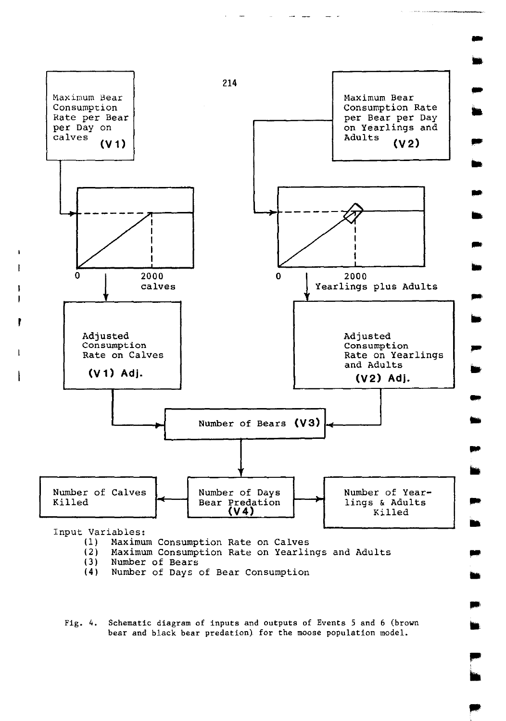

Number of Days of Bear Consumption

Fig. 4. Schematic diagram of inputs and outputs of Events 5 and 6 (brown bear and black bear predation) for the moose population model.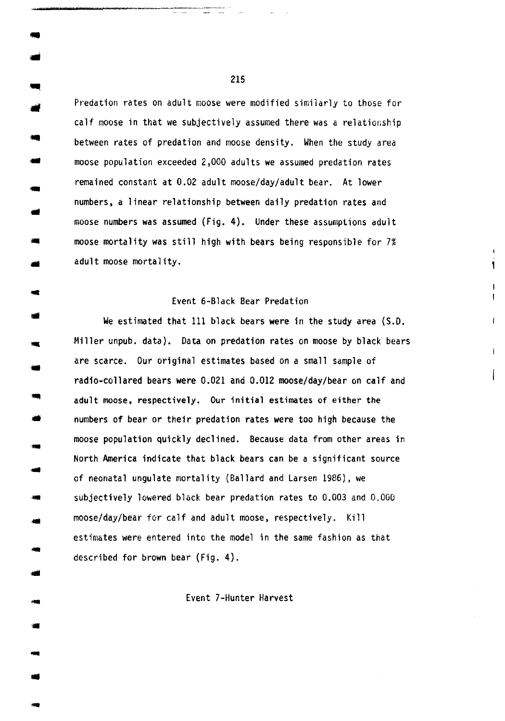Predation rates on adult moose were modified similarly to those for calf moose in that we subjectively assumed there was a relationship between rates of predation and moose density. When the study area moose population exceeded 2,000 adults we assumed predation rates remained constant at 0.02 adult moose/day/adult bear. At lower numbers, a linear relationship between daily predation rates and moose numbers was assumed (Fig. 4). Under these assumptions adult moose mortality was still high with bears being responsible for 7% adult moose mortality.

.. ..

... ..

..

-

• ..

• ...

...

#### Event 6-Black Bear Predation

1

ł.

 $\overline{1}$ L

We estimated that 111 black bears were in the study area (S.D. Miller unpub. data). Data on predation rates on moose by black bears are scarce. Our original estimates based on a small sample of radio-collared bears were 0.021 and 0.012 moose/day/bear on calf and adult moose, respectively. Our initial estimates of either the numbers of bear or their predation rates were too high because the moose population quickly declined. Because data from other areas in North America indicate that black bears can be a significant source of neonatal ungulate mortality (Ballard and Larsen 1986), we subjectively lowered black bear predation rates to 0.003 and 0.000 moose/day/bear for calf and adult moose, respectively. Kill estimates were entered into the model in the same fashion as that described for brown bear (Fig. 4).

Event ?-Hunter Harvest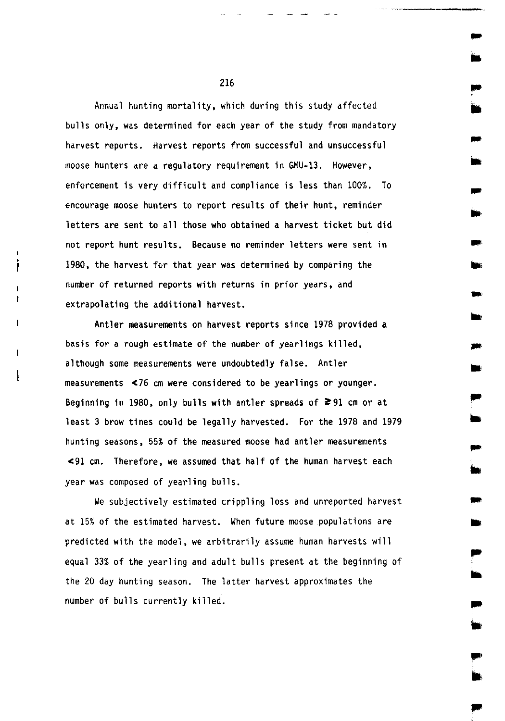Annual hunting mortality, which during this study affected bulls only, was determined for each year of the study from mandatory harvest reports. Harvest reports from successful and unsuccessful moose hunters are a regulatory requirement in GMU-13. However, enforcement is very difficult and compliance is less than 100%. To encourage moose hunters to report results of their hunt, reminder letters are sent to all those who obtained a harvest ticket but did not report hunt results. Because no reminder letters were sent in 1980, the harvest for that year was determined by comparing the number of returned reports with returns in prior years, and extrapolating the additional harvest.

Antler measurements on harvest reports since 1978 provided a basis for a rough estimate of the number of yearlings killed, although some measurements were undoubtedly false. Antler measurements <76 em were considered to be yearlings or younger. Beginning in 1980, only bulls with antler spreads of  $\geq 91$  cm or at least 3 brow tines could be legally harvested. For the 1978 and 1979 hunting seasons, 55% of the measured moose had antler measurements <91 em. Therefore, we assumed that half of the human harvest each year was composed of yearling bulls.

We subjectively estimated crippling loss and unreported harvest at 15% of the estimated harvest. When future moose populations are predicted with the model, we arbitrarily assume human harvests will equal 33% of the yearling and adult bulls present at the beginning of the 20 day hunting season. The latter harvest approximates the number of bulls currently killed.

216

...

•

... ..

...

-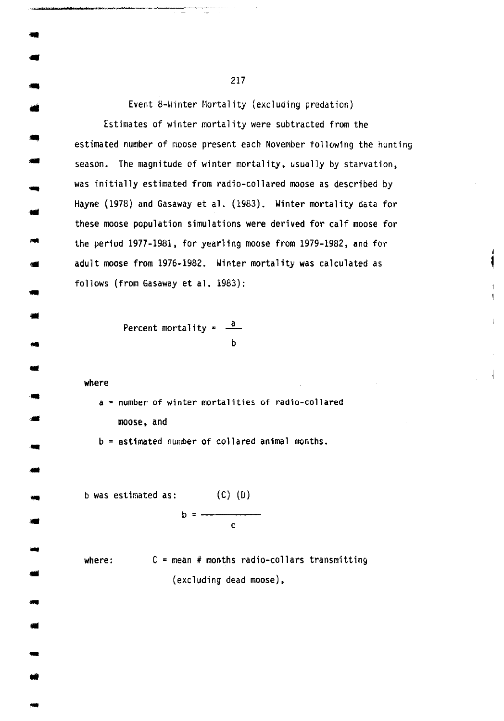Event 8-Winter Mortality (excluding predation)

Estimates of winter mortality were subtracted from the estimated number of moose present each November following the hunting season. The magnitude of winter mortality, usually by starvation, was initially estimated from radio-collared moose as described by Hayne (1978) and Gasaway et al. (1983). Winter mortality data for these moose population simulations were derived for calf moose for the period 1977-1981, for yearling moose from 1979-1982, and for adult moose from 1976-1982. Winter mortality was calculated as follows (from Gasaway et al. 1983):

1

 $\mathbf{I}$  $\mathbf{I}$ 

 $\overline{1}$ 

Percent mortality =  $\frac{a}{a}$ b

where

.. --<br>--<br>--

-<br>-<br>-

--<br>--<br>--

.. ..

...

....

--<br>--<br>--..

...

-..

--<br>--<br>--

a= number of winter mortalities of radio-collared moose, and

b = estimated number of collared animal months .

b was estimated as: (C) (D) b c

where:  $C =$  mean # months radio-collars transmitting (excluding dead moose),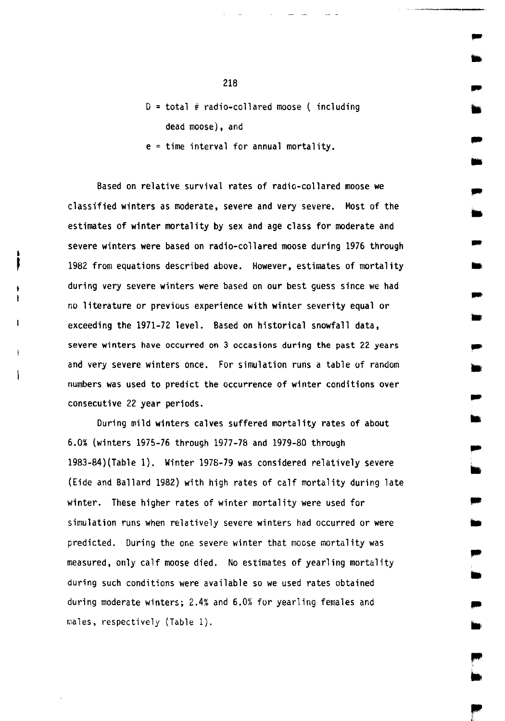$D = total$  # radio-collared moose ( including dead moose}, and

 $e = time interval for annual mortality.$ 

Based on relative survival rates of radio-collared moose we classified winters as moderate, severe and very severe. Most of the estimates of winter mortality by sex and age class for moderate and severe winters were based on radio-collared moose during 1976 through 1982 from equations described above. However, estimates of mortality during very severe winters were based on our best guess since we had no literature or previous experience with winter severity equal or exceeding the 1971-72 level. Based on historical snowfall data, severe winters have occurred on 3 occasions during the past 22 years and very severe winters once. For simulation runs a table of random numbers was used to predict the occurrence of winter conditions over consecutive 22 year periods.

During mild winters calves suffered mortality rates of about 6.0% (winters 1975-76 through 1977-78 and 1979-80 through 1983-84)(Table 1). Winter 1978-79 was considered relatively severe (Eide and Ballard 1982) with high rates of calf mortality during late winter. These higher rates of winter mortality were used for simulation runs when relatively severe winters had occurred or were predicted. During the one severe winter that moose mortality was measured, only calf moose died. No estimates of yearling mortality during such conditions were available so we used rates obtained during moderate winters; 2.4% and 6.0% for yearling females and males, respectively (Table 1).

..

-<br>-<br>-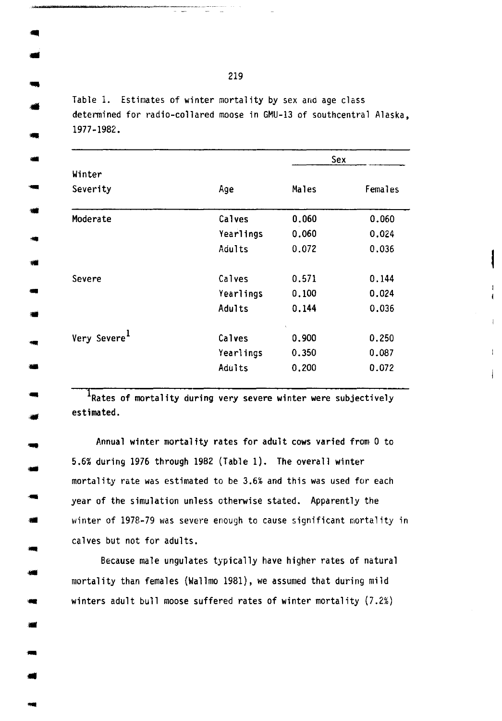Table 1. Estimates of winter mortality by sex and age class determined for radio-collared moose in GMU-13 of southcentral Alaska, 1977-1982 .

...

... -

-

•

-

•

....

|                          |                  | Sex   |         |
|--------------------------|------------------|-------|---------|
| Winter                   |                  |       |         |
| Severity                 | Age              | Males | Females |
| Moderate                 | Calves           | 0,060 | 0.060   |
|                          | <b>Yearlings</b> | 0.060 | 0.024   |
|                          | Adults           | 0.072 | 0.036   |
| Severe                   | Calves           | 0.571 | 0.144   |
|                          | Yearlings        | 0.100 | 0.024   |
|                          | Adults           | 0.144 | 0.036   |
| Very Severe <sup>1</sup> | Calves           | 0.900 | 0.250   |
|                          | Yearlings        | 0.350 | 0.087   |
|                          | Adults           | 0.200 | 0.072   |

 $\mathbf{f}$ 

Ī.

Ī. Ł

 $\frac{1}{1}$ Rates of mortality during very severe winter were subjectively estimated.

Annual winter mortality rates for adult cows varied from 0 to 5.6% during 1976 through 1982 (Table 1). The overall winter mortality rate was estimated to be 3.6% and this was used for each year of the simulation unless otherwise stated. Apparently the winter of 1978-79 was severe enough to cause significant mortality in calves but not for adults.

Because male ungulates typically have higher rates of natural mortality than females (Wallmo 1981), we assumed that during mild winters adult bull moose suffered rates of winter mortality  $(7.2%)$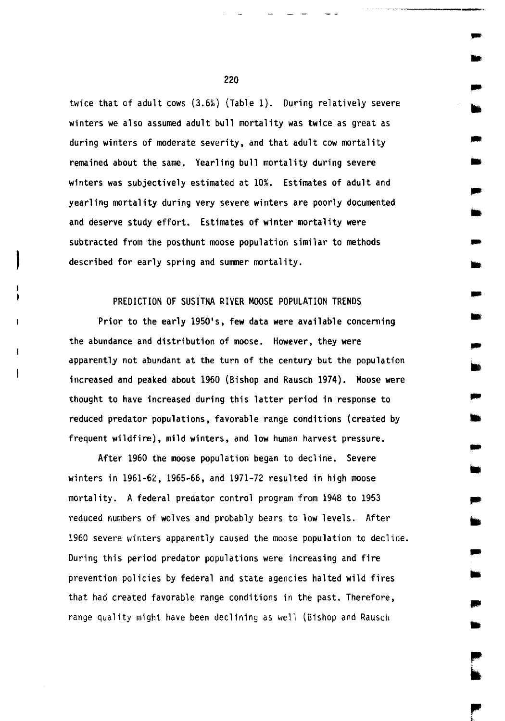twice that of adult cows  $(3.6%)$  (Table 1). During relatively severe winters we also assumed adult bull mortality was twice as great as during winters of moderate severity, and that adult cow mortality remained about the same. Yearling bull mortality during severe winters was subjectively estimated at 10%. Estimates of adult and yearling mortality during very severe winters are poorly documented and deserve study effort. Estimates of winter mortality were subtracted from the posthunt moose population similar to methods described for early spring and summer mortality.

..

...

,..

-

.. ..

,.

### PREDICTION OF SUSITNA RIVER MOOSE POPULATION TRENDS

Prior to the early 1950's, few data were available concerning the abundance and distribution of moose. However, they were apparently not abundant at the turn of the century but the population increased and peaked about 1960 (Bishop and Rausch 1974). Moose were thought to have increased during this latter period in response to reduced predator populations, favorable range conditions (created by frequent wildfire), mild winters, and low human harvest pressure.

After 1960 the moose population began to decline. Severe winters in 1961-62, 1965-66, and 1971-72 resulted in high moose mortality. A federal predator control program from 1948 to 1953 reduced numbers of wolves and probably bears to low levels. After 1960 severe winters apparently caused the moose population to decline. During this period predator populations were increasing and fire prevention policies by federal and state agencies halted wild fires that had created favorable range conditions in the past. Therefore, range quality might have been declining as well (Bishop and Rausch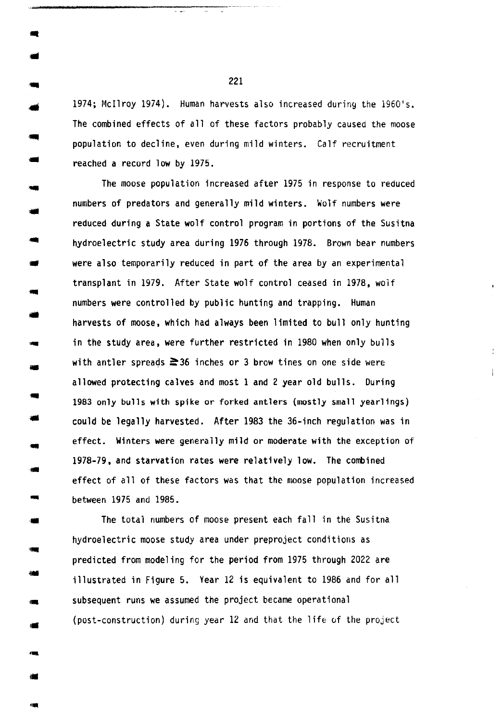1974; Mcilroy 1974). Human harvests also increased during the 1960's. The combined effects of all of these factors probably caused the moose population to decline, even during mild winters. Calf recruitment reached a record low by 1975.

The moose population increased after 1975 in response to reduced numbers of predators and generally mild winters. Wolf numbers were reduced during a State wolf control program in portions of the Susitna hydroelectric study area during 1976 through 1978. Brown bear numbers were also temporarily reduced in part of the area by an experimental transplant in 1979. After State wolf control ceased in 1978, wolf numbers were controlled by public hunting and trapping. Human harvests of moose, which had always been limited to bull only hunting in the study area, were further restricted in 1980 when only bulls with antler spreads  $\geq 36$  inches or 3 brow tines on one side were allowed protecting calves and most 1 and 2 year old bulls. During 1983 only bulls with spike or forked antlers (mostly small yearlings) could be legally harvested. After 1983 the 36-inch regulation was in effect. Winters were generally mild or moderate with the exception of 1978-79, and starvation rates were relatively low. The combined effect of all of these factors was that the moose population increased .. between 1975 and 1985.

 $\perp$ 

The total numbers of moose present each fall in the Susitna hydroelectric moose study area under preproject conditions as predicted from modeling for the period from 1975 through 2022 are illustrated in Figure 5. Year 12 is equivalent to 1986 and for all subsequent runs we assumed the project became operational  $(post-construction)$  during year  $12$  and that the life of the project

221

... ..

..

-..

..

...

•

...

• .. -

• .. -<br>-<br>-

...

•• •• ...

••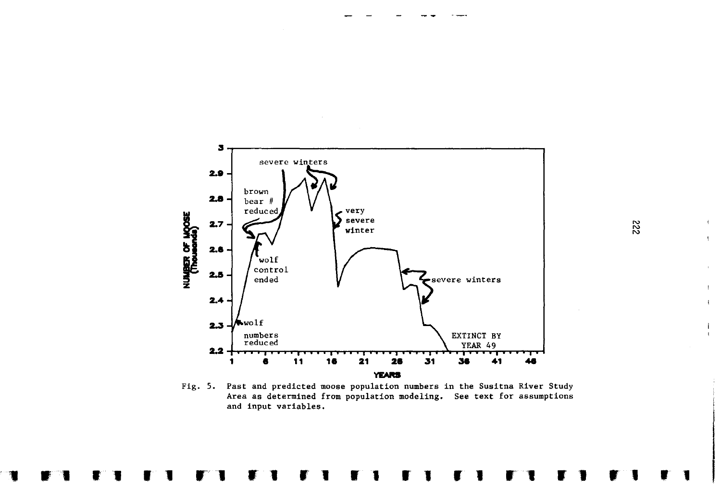

Fig. 5. Past and predicted moose population numbers in the Susitna River Study Area as determined from population modeling. See text for assumptions and input variables.

 $\mathbf{I}$ 

 $\mathbf{I}$ 

 $\mathbf{I}$ 

 $\mathbf{I}$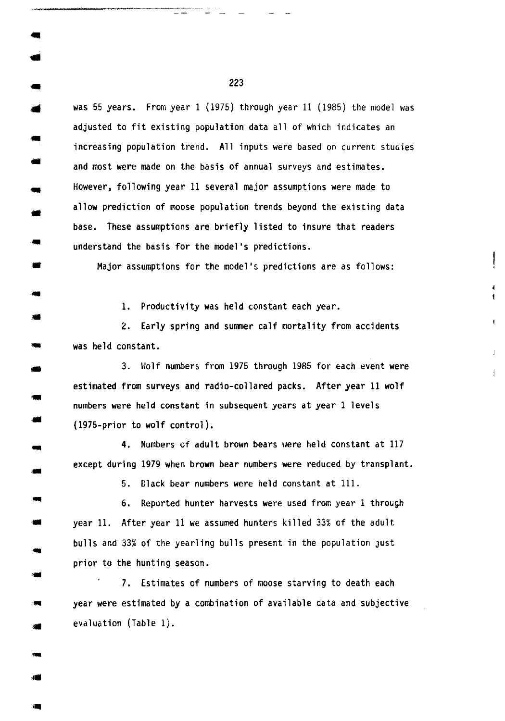was 55 years. From year  $1$  (1975) through year  $11$  (1985) the model was adjusted to fit existing population data all of which indicates an increasing population trend. All inputs were based on current studies and most were made on the basis of annual surveys and estimates. However, following year 11 several major assumptions were made to allow prediction of moose population trends beyond the existing data base. These assumptions are briefly listed to insure that readers understand the basis for the model's predictions .

Major assumptions for the model's predictions are as follows:

1. Productivity was held constant each year.<br>2. Early spring and summer calf mortality from accidents was held constant.

I. Ł

3. Wolf numbers from 1975 through 1985 for each event were estimated from surveys and radio-collared packs. After year 11 wolf numbers were held constant in subsequent years at year 1 levels (1975-prior to wolf control).

4. Numbers of adult brown bears uere held constant at 117 except during 1979 when brown bear numbers were reduced by transplant.

5. Black bear numbers were held constant at 111.

6. Reported hunter harvests were used from year 1 through year 11. After year 11 we assumed hunters killed 33% of the adult bulls and 33% of the yearling bulls present in the population just prior to the hunting season.

7. Estimates of numbers of moose starving to death each year were estimated by a combination of available data and subjective evaluation (Table 1).

223

-..

-..

..

•

'Ill ..

-<br>-<br>--

-

...

...

•• ...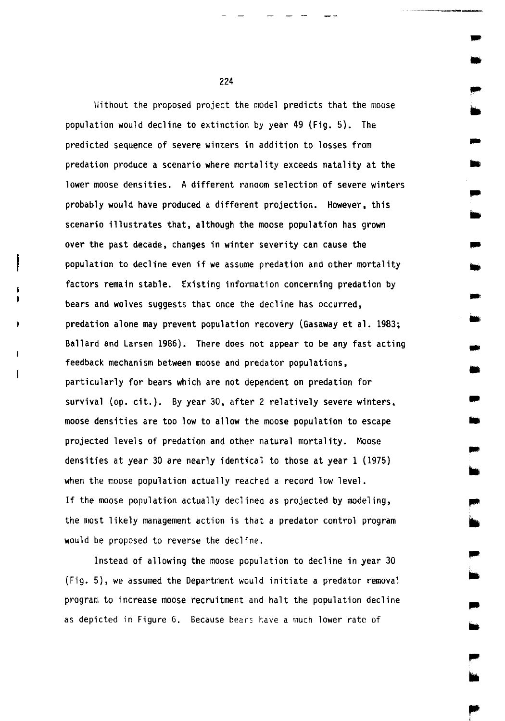Without the proposed project the model predicts that the moose population would decline to extinction by year 49 (Fig. 5). The predicted sequence of severe winters in addition to losses from predation produce a scenario where mortality exceeds natality at the lower moose densities. A different ranaom selection of severe winters probably would have produced a different projection. However, this scenario illustrates that, although the moose population has grown over the past decade, changes in winter severity can cause the population to decline even if we assume predation and other mortality factors remain stable. Existing information concerning predation by bears and wolves suggests that once the decline has occurred, predation alone may prevent population recovery (Gasaway et al. 1983; Ballard and Larsen 1986). There does not appear to be any fast acting feedback mechanism between moose and predator populations, particularly for bears which are not dependent on predation for survival (op. cit.). By year 30, after 2 relatively severe winters, moose densities are too low to allow the moose population to escape projected levels of predation and other natural mortality. Moose densities at year 30 are nearly identical to those at year 1 (1975) when the moose population actually reached a record low level. If the moose population actually declined as projected by modeling, the most likely management action is that a predator control program would be proposed to reverse the decline.

Instead of allowing the moose population to decline in year 30 (Fig. 5), we assumed the Department would initiate a predator removal program to increase moose recruitment and halt the population decline as depicted in Figure 6. Because bears have a much lower rate of

224

•

..

•

•

... • .. ..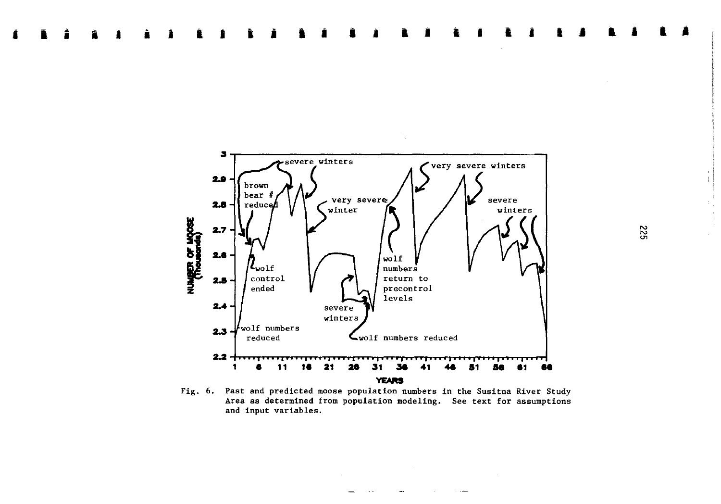

Fig. 6. Past and predicted moose population numbers in the Susitna River Study Area as determined from population modeling. See text for assumptions and input variables.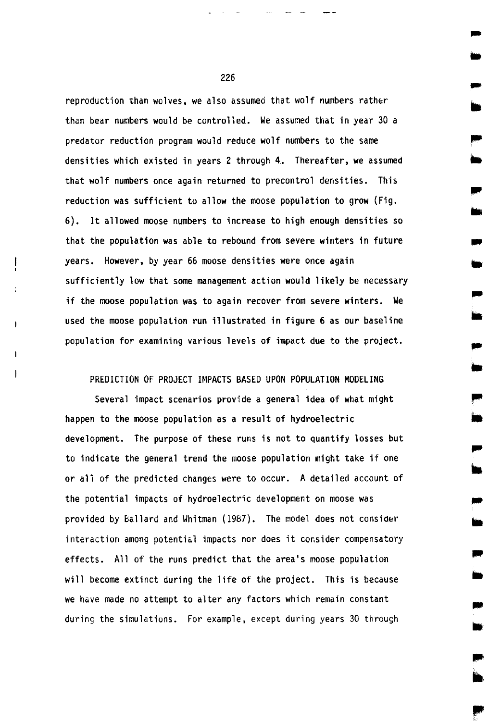reproduction than wolves, we also assumed that wolf numbers rather than bear numbers would be controlled. We assumed that in year 30 a predator reduction program would reduce wolf numbers to the same densities which existed in years 2 through 4. Thereafter, we assumed that wolf numbers once again returned to precontrol densities. This reduction was sufficient to allow the moose population to grow (Fig. 6). It allowed moose numbers to increase to high enough densities so that the population was able to rebound from severe winters in future years. However, by year 66 moose densities were once again sufficiently low that some management action would likely be necessary if the moose population was to again recover from severe winters. We used the moose population run illustrated in figure 6 as our baseline population for examining various levels of impact due to the project.

# PREDICTION OF PROJECT IMPACTS BASED UPON POPULATION MODELING

Several impact scenarios provide a general idea of what might happen to the moose population as a result of hydroelectric development. The purpose of these runs is not to quantify losses but to indicate the general trend the moose population might take if one or all of the predicted changes were to occur. A detailed account of the potential impacts of hydroelectric development on moose was provided by Ballard and Whitman (1987). The model does not consider interaction among potential impacts nor does it consider compensatory effects. All of the runs predict that the area's moose population will become extinct during the life of the project. This is because we have made no attempt to alter any factors which remain constant during the simulations. For example, except during years 30 through

226

..

..

• ..

..

•

..

•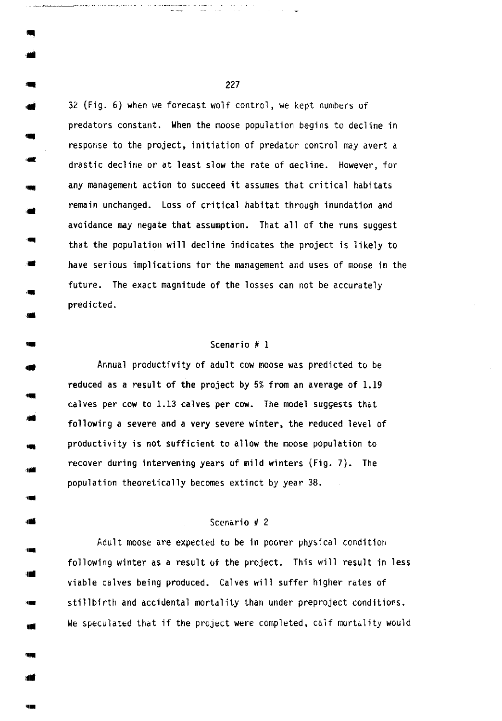32 (Fig. 6) when we forecast wolf control, we kept numbers of predators constant. When the moose population begins to decline in response to the project, initiation of predator control may avert a drastic decline or at least slow the rate of decline. However, for any management action to succeed it assumes that critical habitats remain unchanged. Loss of critical habitat through inundation and avoidance may negate that assumption. That all of the runs suggest that the population will decline indicates the project is likely to have serious implications tor the management and uses of moose in the future. The exact magnitude of the losses can not be accurately predicted.

, ..

••

... ,, ..

••

## Scenario # 1

Annual productivity of adult cow moose was predicted to be reduced as a result of the project by 5% from an average of 1.19 calves per cow to 1.13 calves per cow. The model suggests that following a severe and a very severe winter, the reduced level of productivity is not sufficient to allow the moose population to recover during intervening years of mild winters (Fig. 7). The population theoretically becomes extinct by year 38 .

# Scenario  $# 2$

Adult moose are expected to be in poorer physical condition following winter as a result of the project. This will result in less viable calves being produced. Calves will suffer higher rates of stillbirth and accidental mortality than under preproject conditions. We speculated that if the project were completed, calf mortality would

 $\sim$ . 227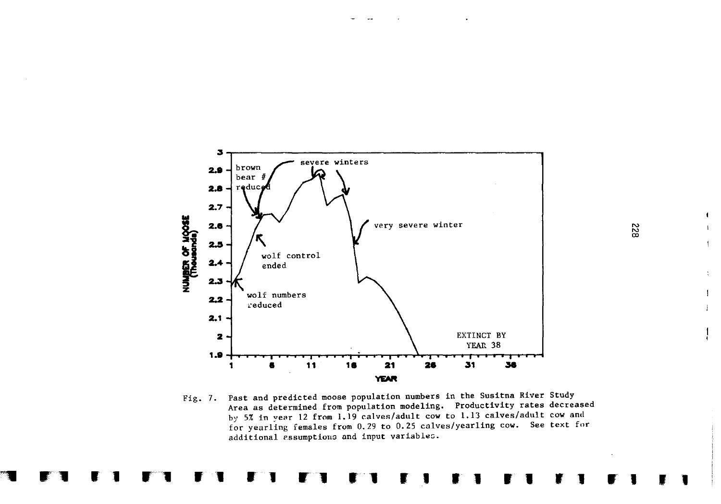

Fig. 7. Past and predicted moose population numbers in the Susitna River Study Area as determined from population modeling. Productivity rates decreased by 5% in year 12 from 1.19 calves/adult cow to 1.13 calves/adult cow and for yearling females from 0.29 to 0.25 calves/yearling cow. See text for additional essumptions and input variables.

 $\blacksquare$ 

 $\bar{\gamma}$ 

 $\mathbf{I}$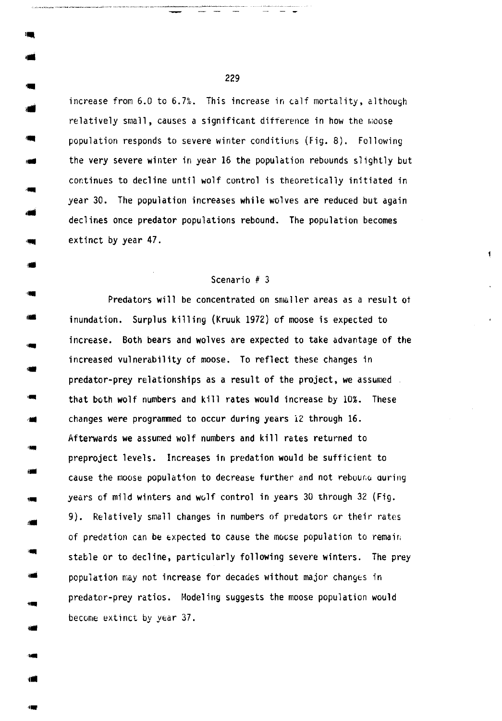increase from 6.0 to 6.7%. This increase in calf mortality, although relatively small, causes a significant difference in how the moose population responds to severe winter conditions (Fig. 8). Following the very severe winter in year 16 the population rebounds slightly but continues to decline until wolf control is theoretically initiated in year 30. The population increases while wolves are reduced but again declines once predator populations rebound. The population becomes extinct by year 47.

#### Scenario # 3

 $\blacksquare$ 

Predators will be concentrated on smaller areas as a result of inundation. Surplus killing (Kruuk 1972} of moose is expected to increase. Both bears and wolves are expected to take advantage of the increased vulnerability of moose. To reflect these changes in predator-prey relationships as a result of the project, we assumed that both wolf numbers and kill rates would increase by 10%. These changes were programmed to occur during years 12 through 16. Afterwards we assumed wolf numbers and kill rates returned to preproject levels. Increases in predation would be sufficient to cause the moose population to decrease further and not rebound during years of mild winters and wolf control in years 30 through 32 (Fig. 9). Relatively small changes in numbers of predators or their rates of predation can be expected to cause the moose population to remain stable or to decline, particularly following severe winters. The prey population may not increase for decades without major changes in predator-prey ratios. Modeling suggests the moose population would become extinct by year 37 .

229

...

••

'Ill ;IIIIi

,.

'IIIII ••

...

••

••

,.

....

••

••

••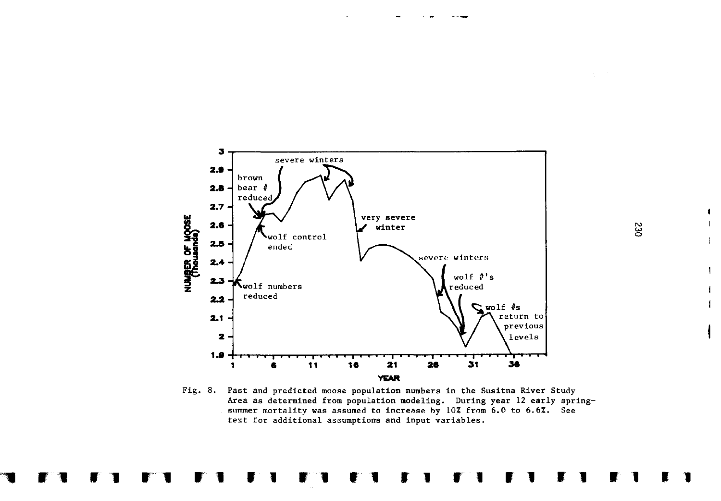

Fig. 8. Past and predicted moose population numbers in the Susitna River Study Area as determined from population modeling. During year 12 early springsummer mortality was assumed to increase by 10% from 6.0 to 6.6%. See text for additional assumptions and input variables.

230

 $\blacksquare$ 

 $\mathbf{I}$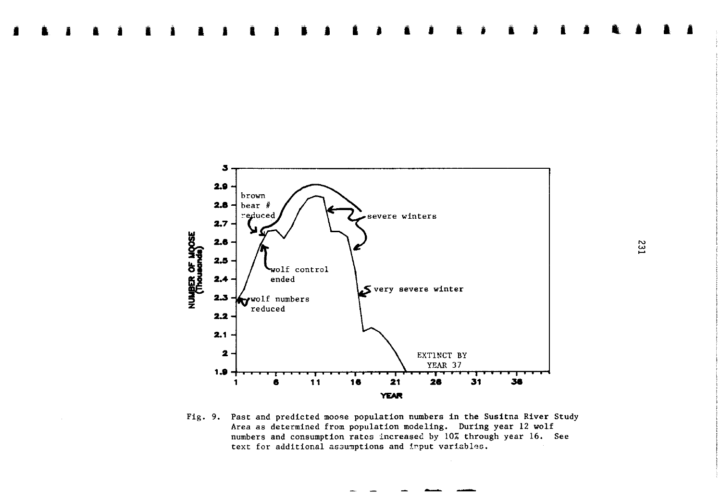

Fig. 9. Past and predicted moose population numbers in the Susitna River Study Area as determined from population modeling. During year 12 wolf numbers and consumption rates increased by 10% through year 16. See text for additional assumptions and imput variables.

**E31**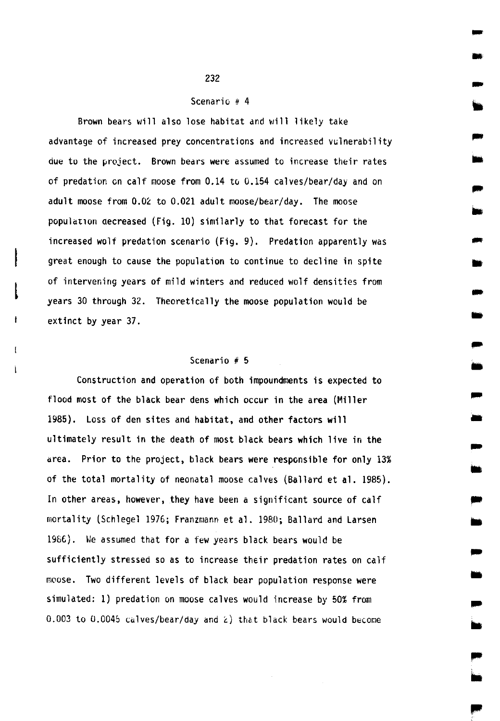### Scenario  $# 4$

- -

-

-

-

-<br>-<br>--<br>-<br>-

-

.. Ill

..

• -<br>-<br>-

Brown bears will also lose habitat and will likely take advantage of increased prey concentrations and increased vulnerability due to the project. Brown bears were assumed to increase their rates of predation en calf moose from 0.14 to 0.154 calves/bear/day and on adult moose from 0.02 to 0.021 adult moose/bear/day. The moose populat1on aecreased (Fig. 10) similarly to that forecast for the increased wolf predation scenario (Fig. 9). Predation apparently was great enough to cause the population to continue to decline in spite of intervening years of mild winters and reduced wolf densities from years 30 through 32. Theoretically the moose population would be extinct by year 37.

# Scenario # 5

 $\mathbf{I}$ 

Construction and operation of both impoundments is expected to flood most of the black bear dens which occur in the area (Miller 1985). Loss of den sites and habitat, and other factors will ultimately result in the death of most black bears which live in the area. Prior to the project, black bears were responsible for only 13% of the total mortality of neonatal moose calves (Ballard et al. 1985). In other areas, however, they have been a significant source of calf mortality (Schlegel 1976; Franzmann et al. 1980; Ballard and Larsen 19SC). We assumed that for a few years black bears would be sufficiently stressed so as to increase their predation rates on calf moose. Two different levels of black bear population response were simulated: 1) predation on moose calves would increase by 50% from 0.003 to 0.0045 calves/bear/day and  $\hat{z}$ ) that black bears would become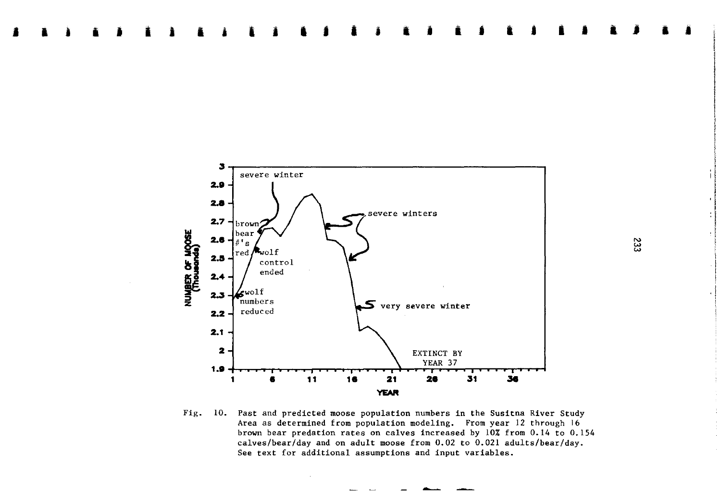

**i j** I **j** I

**i l** I **l J** 

<sup>I</sup>**.i** • **<sup>j</sup>**

**<sup>j</sup>**I • **i j** • **<sup>j</sup>**I **<sup>i</sup>**

Fig. 10. Past and predicted moose population numbers in the Susitna River Study Area as determined from population modeling. From year 12 through 16 brown bear predation rates on calves increased by 10% from 0.14 to 0.154 calves/bear/day and on adult moose from 0.02 to 0.021 adults/bear/day. See text for additional assumptions and input variables.

**<sup>l</sup>**•

I I

! i la de la companya de la companya de la companya de la companya de la companya de la companya de la companya de<br>La companya de la companya de la companya de la companya de la companya de la companya de la companya de la co II

 $\cdot$ I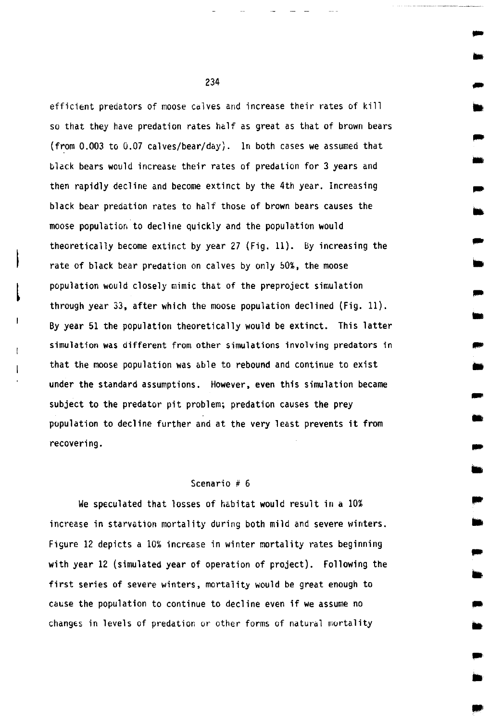efficient predators of moose calves and increase their rates of kill so that they have predation rates half as great as that of brown bears (from 0.003 to 0.07 calves/bear/day). In both cases we assumed that black bears would increase their rates of predation for 3 years and then rapidly decline and become extinct by the 4th year. Increasing black bear predation rates to half those of brown bears causes the moose populatior. to decline quickly and the population would theoretically become extinct by year 27 (Fig. 11). By increasing the rate of black bear predation on calves by only 50%, the moose population would closely mimic that of the preproject simulation through year 33, after which the moose population declined (Fig. 11). By year 51 the population theoretically would be extinct. This latter simulation was different from other simulations involving predators in that the moose population was able to rebound and continue to exist under the standard assumptions. However, even this simulation became subject to the predator pit problem; predation causes the prey population to decline further and at the very least prevents it from recovering.

... ..

... •

...

•

... ..

... ..

• lit

lit ..

...

## Scenario # 6

We speculated that losses of habitat would result in a 10% increase in starvation mortality during both mild and severe winters. Figure 12 depicts a 10% increase in winter mortality rates beginning with year 12 (simulated year of operation of project). Following the first series of severe winters, mortality would be great enough to cause the population to continue to decline even if we assume no changes in levels of predation or other forms of natural mortality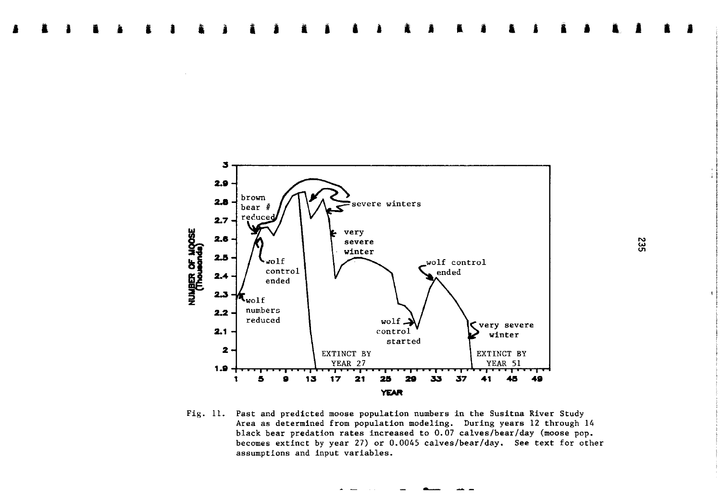

I **l** I I I **l** I

I I I I **<sup>a</sup>**I • • **i** ' I I • I

Fig. 11. Past and predicted moose population numbers in the Susitna River Study Area as determined from population modeling. During years 12 through 14 black bear predation rates increased to 0.07 calves/bear/day (moose pop. becomes extinct by year 27) or 0.0045 calves/bear/day. See text for other assumptions and input variables.

' I

• I

I I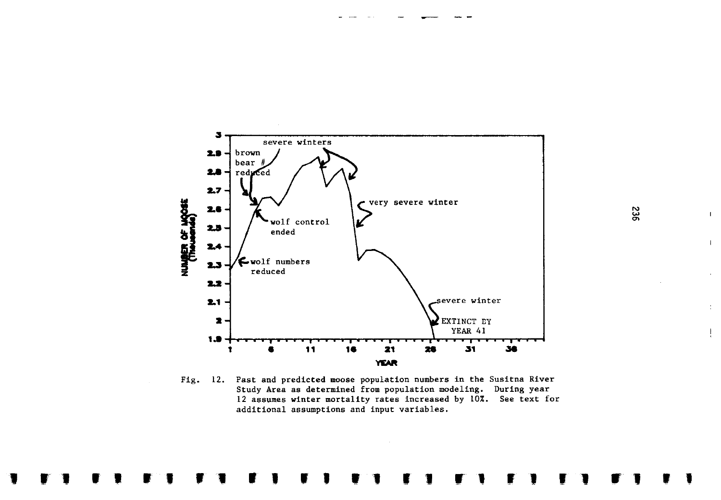

Fig. 12. Past and predicted moose population numbers in the Susitna River Study Area as determined from population modeling. During year 12 assumes winter mortality rates increased by 10%. See text for additional assumptions and input variables.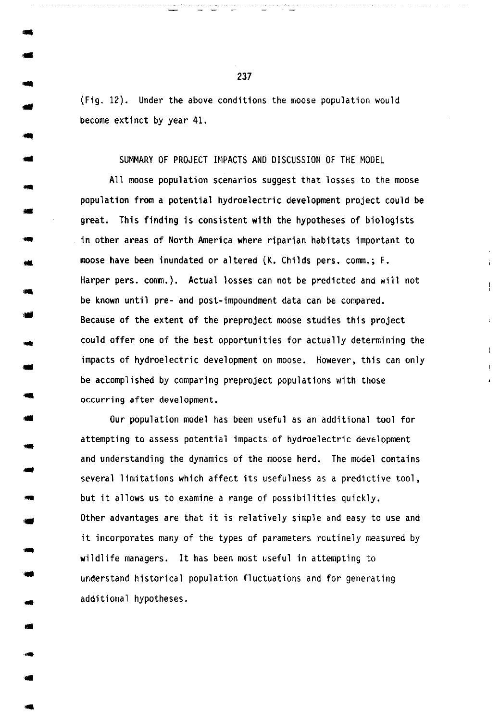(Fig. 12). Under the above conditions the moose population would become extinct by year 41 .

SUMMARY OF PROJECT IMPACTS AND DISCUSSION OF THE MODEL

All moose population scenarios suggest that losses to the moose population from a potential hydroelectric development project could be great. This finding is consistent with the hypotheses of biologists in other areas of North America where riparian habitats important to moose have been inundated or altered (K. Childs pers. comm.; F. Harper pers. comm.). Actual losses can not be predicted and will not be known until pre- and post-impoundment data can be compared . Because of the extent of the preproject moose studies this project could offer one of the best opportunities for actually determining the impacts of hydroelectric development on moose. However, this can only be accomplished by comparing preproject populations with those occurring after development.

Our population model has been useful as an additional tool for attempting to assess potential impacts of hydroelectric development and understanding the dynamics of the moose herd. The model contains several limitations which affect its usefulness as a predictive tool, but it allows us to examine a range of possibilities quickly. Other advantages are that it is relatively simple and easy to use and it incorporates many of the types of parameters routinely measured by wildlife managers. It has been most useful in attempting to understand historical population fluctuations and for generating additional hypotheses .

237

..

• ..

• • ..

•

• ..

• -

-...

..

..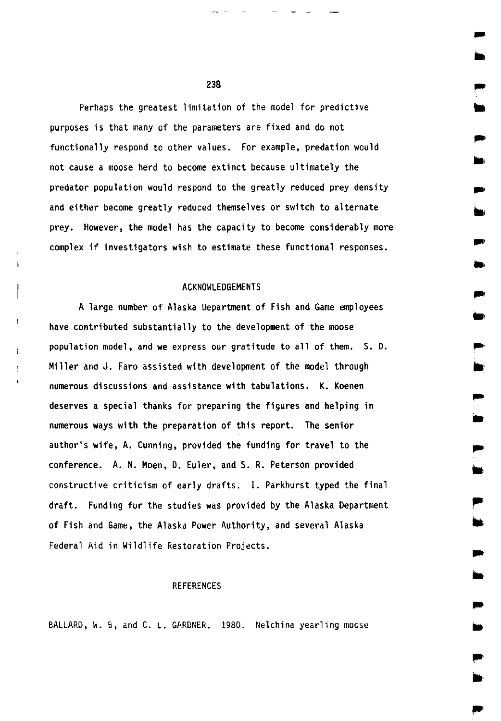Perhaps the greatest limitation of the model for predictive purposes is that many of the parameters are fixed and do not functionally respond to other values. For example, predation would not cause a moose herd to become extinct because ultimately the predator population would respond to the greatly reduced prey density and either become greatly reduced themselves or switch to alternate prey. However, the model has the capacity to become considerably more complex if investigators wish to estimate these functional responses.

#### ACKNOWLEDGEMENTS

A large number of Alaska Department of Fish and Game employees have contributed substantially to the development of the moose population model, and we express our gratitude to all of them. S. D. Miller and J. Faro assisted with development of the model through numerous discussions and assistance with tabulations. K. Koenen deserves a special thanks for preparing the figures and helping in numerous ways with the preparation of this report. The senior author's wife, A. Cunning, provided the funding for travel to the conference. A. N. Moen, D. Euler, and S. R. Peterson provided constructive criticism of early drafts. I. Parkhurst typed the final draft. Funding for the studies was provided by the Alaska Department of Fish and Game, the Alaska Power Authority, and several Alaska Federal Aid in Wildlife Restoration Projects.

### REFERENCES

BALLARD, W. B, and C. L. GARDNER. 1980. Nelchina yearling moose

238

.... •

...

.... ill

.... ..

.. ..

,.

..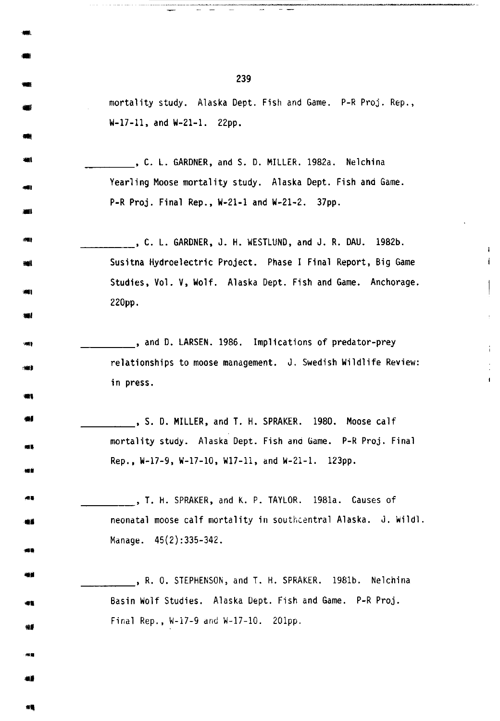mortality study. Alaska Dept. Fish and Game. P-R Proj. Rep., W-17-11, and W-21-1. 22pp.

\_\_\_\_ , C. L. GARDNER, and S. D. MILLER. 1982a. Nelchina Yearling Moose mortality study. Alaska Dept. Fish and Game. P-R Proj. Final Rep., W-21-1 and W-21-2. 37pp .

\_\_\_\_, C. L. GARDNER, J. H. WESTLUND, and J. R. DAU. 1982b. Susitna Hydroelectric Project. Phase I Final Report, Big Game Studies, Vol. V, Wolf. Alaska Dept. Fish and Game. Anchorage. 22Dpp.

 $\mathbf{I}$  $\mathbf{i}$ 

, and D. LARSEN. 1986. Implications of predator-prey relationships to moose management. J. Swedish Wildlife Review: in press .

\_\_\_\_ , S. D. MILLER, and T. H. SPRAKER. 1980. Moose calf mortality study. Alaska Dept. Fish ana Game. P-R Proj. Final Rep., W-17-9, W-17-10, W17-11, and W-21-1. 123pp .

... - 4월<br>-<br>- 4월<br>-\_\_\_\_ , T. H. SPRAKER, and K. P. TAYLOR. 1981a. Causes of neonatal moose calf mortality in southcentral Alaska. J. wildl. Manage. 45(2):335-342.

\_\_\_\_ , R. 0. STEPHENSON, and T. H. SPRAKER. 1981b. Nelchina Basin Wolf Studies. Alaska Dept. Fish and Game. P-R Proj. Final Rep., W-17-9 and W-17-10. 20lpp .

239

-

-

-· الله<br>- $\bullet$ 

, ..

..

..

**SOF** 

...

440 60

. ,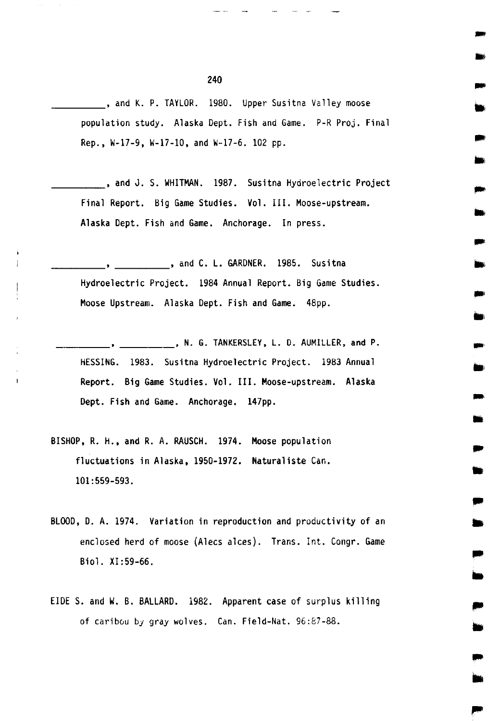, and K. P. TAYLOR. 1980. Upper Susitna Valley moose population study. Alaska Dept. Fish and Game. P-R Proj. Final Rep., W-17-9, W-17-10, and W-17-6. 102 pp.

...

..

...

•

...

• .. ..

.. ..

.. ..

.. ..

, and J. S. WHITMAN. 1987. Susitna Hydroelectric Project Final Report. Big Game Studies. Vol. III. Moose-upstream. Alaska Dept. Fish and Game. Anchorage. In press.

\_\_\_\_ , and C. L. GARDNER. 1985. Susitna Hydroelectric Project. 1984 Annual Report. Big Game Studies. Moose Upstream. Alaska Dept. Fish and Game. 48pp.

, N. G. TANKERSLEY, L. D. AUMILLER, and P. HESSING. 1983. Susitna Hydroelectric Project. 1983 Annual Report. Big Game Studies. Vol. III. Moose-upstream. Alaska Dept. Fish and Game. Anchorage. 147pp.

BISHOP, R. H., and R. A. RAUSCH. 1974. Moose population fluctuations in Alaska, 1950-1972. Naturaliste Can. 101:559-593.

 $\mathbf{r}$ 

- BLOOD, D. A. 1974. Variation in reproduction and productivity of an enclosed herd of moose (Alecs alces). Trans. Int. Congr. Game Biol. XI :59-66.
- EIDE S. and W. B. BALLARD. 1982. Apparent case of surplus killing of caribou *by* gray wolves. Can. Field-Nat. 96:87-88.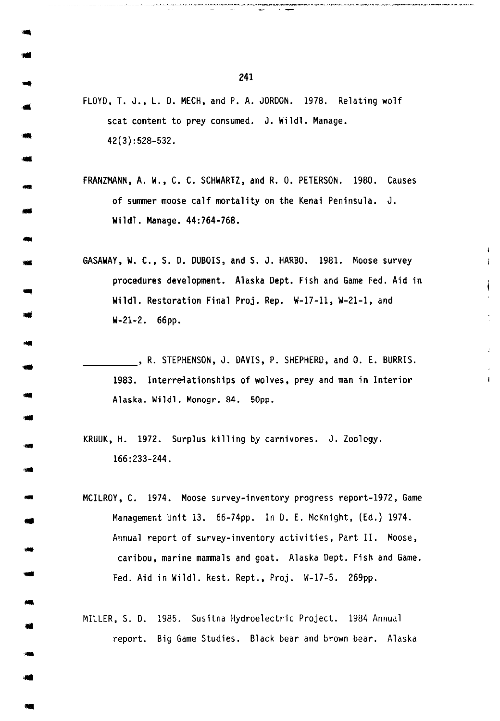FLOYD, T. J., L. D. MECH, and P. A. JORDON. 1978. Relating wolf scat content to prey consumed. J. Wildl. Manage. 42(3):528-532.

FRANZMANN, A. W., C. C. SCHWARTZ, and R. 0. PETERSON. 1980. Causes of summer moose calf mortality on the Kenai Peninsula. J. Wildl. Manage. 44:764-768 •

GASAWAY, W. C., S.D. DUBOIS, and S. J. HARBO. 1981. Moose survey procedures development. Alaska Dept. Fish and Game Fed. Aid in Wildl. Restoration Final Proj. Rep. W-17-11, W-21-1, and W-21-2. 66pp.

\_\_\_\_ , R. STEPHENSON, J. DAVIS, P. SHEPHERD, and 0. E. BURRIS. 1983. Interrelationships of wolves, prey and man in Interior Alaska. Wildl. Monogr. 84. 50pp.

 $\mathbf{I}$ 

KRUUK, H. 1972. Surplus killing by carnivores. J. Zoology . 166:233-244.

MCILROY, C. 1974. Moose survey-inventory progress report-1972, Game Management Unit 13. 66-74pp. In *D.* E. McKnight, (Ed.) 1974. Annual report of survey-inventory activities, Part II. Moose, caribou, marine mammals and goat. Alaska Dept. Fish and Game . Fed. Aid in Wildl. Rest. Rept., Proj. W-17-5. 269pp.

MILLER, S. *D.* 1985. Susitna Hydroelectric Project. 1984 Annual report. Big Game Studies. Black bear and brown bear. Alaska

241

-,.

... -

- -...

..

...

..

--<br>--<br>--

... ..

-...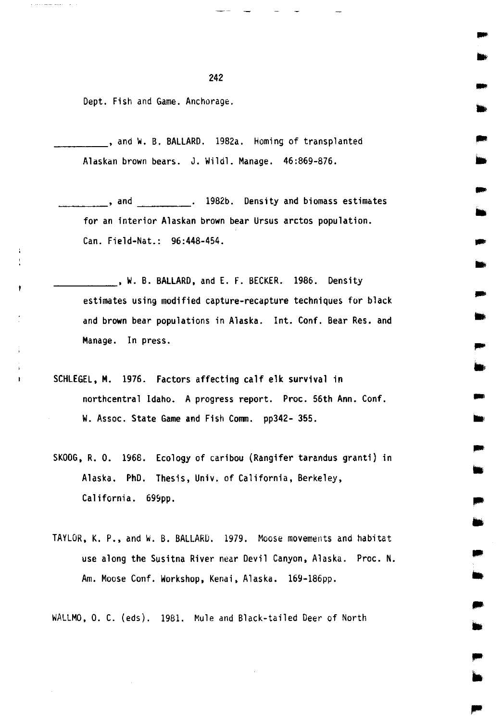Dept. Fish and Game. Anchorage.

ł

 $\mathbf{r}$ 

\_\_\_\_ , and W. B. BALLARD. 19B2a. Homing of transplanted Alaskan brown bears. J. Wildl. Manage. 46:869-876.

\_\_\_\_ , and \_\_\_\_ . 1982b. Density and biomass estimotes for an interior Alaskan brown bear Ursus arctos population. Can. Field-Nat.: 96:448-454.

...

.... ..

...

,... ..

.. ..

..

•

..

• .. ..

,.

, W. B. BALLARD, and E. F. BECKER. 1986. Density estimates using modified capture-recapture techniques for black and brown bear populations in Alaska. Int. Conf. Bear Res. and Manage. In press.

- SCHLEGEL, M. 1976. Factors affecting calf elk survival in northcentral Idaho. A progress report. Proc. 56th Ann. Conf. W. Assoc. State Game and Fish Comm. pp342- 355.
- SKOOG, R. 0. 1968. Ecology of caribou (Rangifer tarandus granti) in Alaska. PhD. Thesis, Univ. of California, Berkeley, California. 699pp.
- TAYLOR, K. P., and w. B. BALLARD. 1979. Moose movements and habitat use along the Susitna River near Devil Canyon, Alaska. Proc. N. Am. Moose Conf. Workshop, Kenai, Alaska. 169-186pp.

WALLMO, 0. C. (eds). 1981. Mule and Black-tailed Deer of North